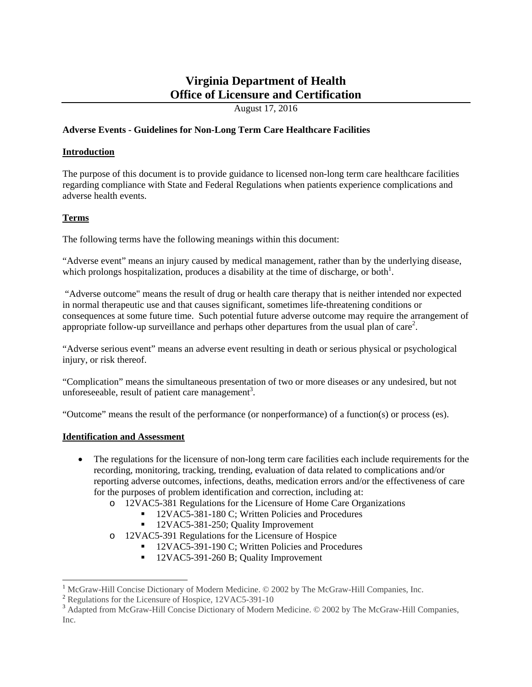# **Virginia Department of Health Office of Licensure and Certification**

August 17, 2016

# **Adverse Events - Guidelines for Non-Long Term Care Healthcare Facilities**

# **Introduction**

The purpose of this document is to provide guidance to licensed non-long term care healthcare facilities regarding compliance with State and Federal Regulations when patients experience complications and adverse health events.

# **Terms**

The following terms have the following meanings within this document:

"Adverse event" means an injury caused by medical management, rather than by the underlying disease, which prolongs hospitalization, produces a disability at the time of discharge, or both<sup>1</sup>.

 "Adverse outcome" means the result of drug or health care therapy that is neither intended nor expected in normal therapeutic use and that causes significant, sometimes life-threatening conditions or consequences at some future time. Such potential future adverse outcome may require the arrangement of appropriate follow-up surveillance and perhaps other departures from the usual plan of care<sup>2</sup>.

"Adverse serious event" means an adverse event resulting in death or serious physical or psychological injury, or risk thereof.

"Complication" means the simultaneous presentation of two or more diseases or any undesired, but not unforeseeable, result of patient care management<sup>3</sup>.

"Outcome" means the result of the performance (or nonperformance) of a function(s) or process (es).

## **Identification and Assessment**

- The regulations for the licensure of non-long term care facilities each include requirements for the recording, monitoring, tracking, trending, evaluation of data related to complications and/or reporting adverse outcomes, infections, deaths, medication errors and/or the effectiveness of care for the purposes of problem identification and correction, including at:
	- o 12VAC5-381 Regulations for the Licensure of Home Care Organizations
		- <sup>1</sup> 12VAC5-381-180 C; Written Policies and Procedures
			- 12VAC5-381-250; Quality Improvement
	- o 12VAC5-391 Regulations for the Licensure of Hospice
		- 12VAC5-391-190 C; Written Policies and Procedures
		- <sup>12VAC5-391-260</sup> B; Quality Improvement

<sup>&</sup>lt;sup>1</sup> McGraw-Hill Concise Dictionary of Modern Medicine. © 2002 by The McGraw-Hill Companies, Inc.  $2$  Regulations for the Licensure of Hospice, 12VAC5-391-10

<sup>&</sup>lt;sup>3</sup> Adapted from McGraw-Hill Concise Dictionary of Modern Medicine. © 2002 by The McGraw-Hill Companies, Inc.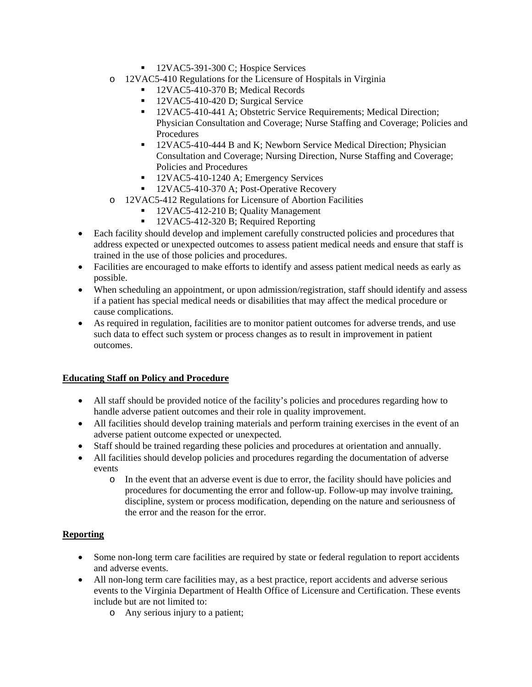- 12VAC5-391-300 C; Hospice Services
- o 12VAC5-410 Regulations for the Licensure of Hospitals in Virginia
	- <sup>1</sup> 12VAC5-410-370 B; Medical Records
	- 12VAC5-410-420 D; Surgical Service
	- <sup>12VAC5-410-441</sup> A; Obstetric Service Requirements; Medical Direction; Physician Consultation and Coverage; Nurse Staffing and Coverage; Policies and Procedures
	- <sup>12VAC5-410-444 B and K; Newborn Service Medical Direction; Physician</sup> Consultation and Coverage; Nursing Direction, Nurse Staffing and Coverage; Policies and Procedures
	- <sup>1</sup> 12VAC5-410-1240 A; Emergency Services
	- 12VAC5-410-370 A; Post-Operative Recovery
- o 12VAC5-412 Regulations for Licensure of Abortion Facilities
	- <sup>1</sup> 12VAC5-412-210 B; Quality Management
	- 12VAC5-412-320 B; Required Reporting
- Each facility should develop and implement carefully constructed policies and procedures that address expected or unexpected outcomes to assess patient medical needs and ensure that staff is trained in the use of those policies and procedures.
- Facilities are encouraged to make efforts to identify and assess patient medical needs as early as possible.
- When scheduling an appointment, or upon admission/registration, staff should identify and assess if a patient has special medical needs or disabilities that may affect the medical procedure or cause complications.
- As required in regulation, facilities are to monitor patient outcomes for adverse trends, and use such data to effect such system or process changes as to result in improvement in patient outcomes.

## **Educating Staff on Policy and Procedure**

- All staff should be provided notice of the facility's policies and procedures regarding how to handle adverse patient outcomes and their role in quality improvement.
- All facilities should develop training materials and perform training exercises in the event of an adverse patient outcome expected or unexpected.
- Staff should be trained regarding these policies and procedures at orientation and annually.
- All facilities should develop policies and procedures regarding the documentation of adverse events
	- o In the event that an adverse event is due to error, the facility should have policies and procedures for documenting the error and follow-up. Follow-up may involve training, discipline, system or process modification, depending on the nature and seriousness of the error and the reason for the error.

# **Reporting**

- Some non-long term care facilities are required by state or federal regulation to report accidents and adverse events.
- All non-long term care facilities may, as a best practice, report accidents and adverse serious events to the Virginia Department of Health Office of Licensure and Certification. These events include but are not limited to:
	- o Any serious injury to a patient;